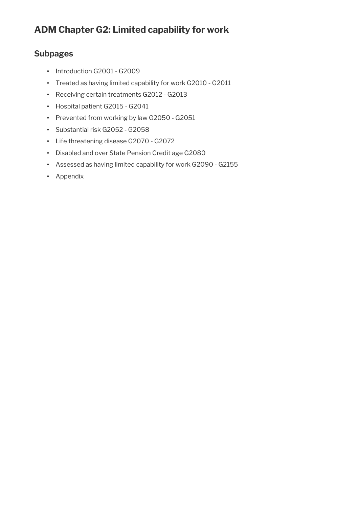# **ADM Chapter G2: Limited capability for work**

## **Subpages**

- Introduction G2001 G2009
- Treated as having limited capability for work G2010 G2011
- Receiving certain treatments G2012 G2013
- Hospital patient G2015 G2041
- Prevented from working by law G2050 G2051
- Substantial risk G2052 G2058
- Life threatening disease G2070 G2072
- Disabled and over State Pension Credit age G2080
- Assessed as having limited capability for work G2090 G2155
- Appendix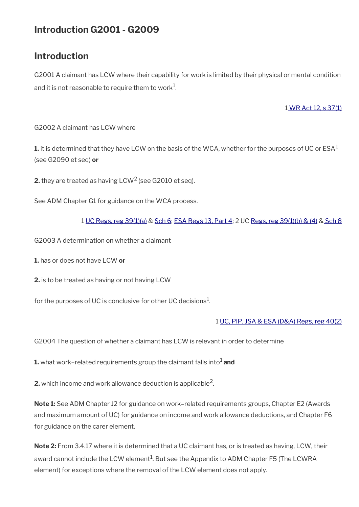# **Introduction G2001 - G2009**

## **Introduction**

G2001 A claimant has LCW where their capability for work is limited by their physical or mental condition and it is not reasonable to require them to work $^1\!$ 

## [1 WR Act 12, s 37\(1\)](https://www.legislation.gov.uk/ukpga/2012/5/section/37)

G2002 A claimant has LCW where

**1.** it is determined that they have LCW on the basis of the WCA, whether for the purposes of UC or  $\text{ESA}^1$ (see G2090 et seq) **or**

**2.** they are treated as having LCW<sup>2</sup> (see G2010 et seq).

See ADM Chapter G1 for guidance on the WCA process.

## 1 [UC Regs, reg 39\(1\)\(a\)](https://www.legislation.gov.uk/uksi/2013/376/regulation/39) & [Sch 6](https://www.legislation.gov.uk/uksi/2013/376/schedule/6); [ESA Regs 13, Part 4;](https://www.legislation.gov.uk/uksi/2013/379/part/4) 2 UC [Regs, reg 39\(1\)\(b\) & \(4\)](https://www.legislation.gov.uk/uksi/2013/376/regulation/39) & [Sch 8](https://www.legislation.gov.uk/uksi/2013/376/schedule/8)

G2003 A determination on whether a claimant

**1.** has or does not have LCW **or**

**2.** is to be treated as having or not having LCW

for the purposes of UC is conclusive for other UC decisions $^1\!\!$ .

### 1 [UC, PIP, JSA & ESA \(D&A\) Regs, reg 40\(2\)](https://www.legislation.gov.uk/uksi/2013/381/regulation/40)

G2004 The question of whether a claimant has LCW is relevant in order to determine

**1.** what work–related requirements group the claimant falls into<sup>1</sup> and

**2.** which income and work allowance deduction is applicable<sup>2</sup>.

**Note 1:** See ADM Chapter J2 for guidance on work–related requirements groups, Chapter E2 (Awards and maximum amount of UC) for guidance on income and work allowance deductions, and Chapter F6 for guidance on the carer element.

**Note 2:** From 3.4.17 where it is determined that a UC claimant has, or is treated as having, LCW, their award cannot include the LCW element $^1$ . But see the Appendix to ADM Chapter F5 (The LCWRA element) for exceptions where the removal of the LCW element does not apply.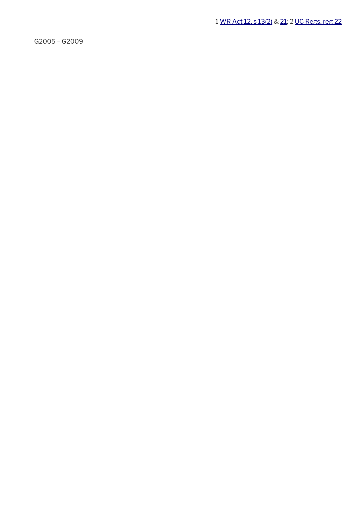1 [WR Act 12, s 13\(2\)](https://www.legislation.gov.uk/ukpga/2012/5/section/13) & [21;](https://www.legislation.gov.uk/ukpga/2012/5/section/21) 2 [UC Regs, reg 22](https://www.legislation.gov.uk/uksi/2013/376/regulation/22)

G2005 – G2009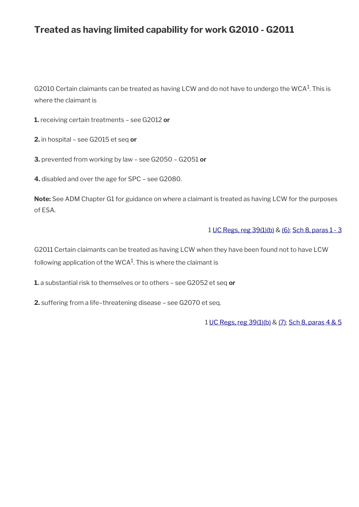# **Treated as having limited capability for work G2010 - G2011**

G2010 Certain claimants can be treated as having LCW and do not have to undergo the WCA<sup>1</sup>. This is where the claimant is

**1.** receiving certain treatments – see G2012 **or**

**2.** in hospital – see G2015 et seq **or**

**3.** prevented from working by law – see G2050 – G2051 **or**

**4.** disabled and over the age for SPC – see G2080.

**Note:** See ADM Chapter G1 for guidance on where a claimant is treated as having LCW for the purposes of ESA.

#### 1 [UC Regs, reg 39\(1\)\(b\)](https://www.legislation.gov.uk/uksi/2013/376/regulation/39) & [\(6\);](https://www.legislation.gov.uk/uksi/2013/376/regulation/39) [Sch 8, paras 1 - 3](https://www.legislation.gov.uk/uksi/2013/376/schedule/8)

G2011 Certain claimants can be treated as having LCW when they have been found not to have LCW following application of the WCA $^{\rm 1}$ . This is where the claimant is

**1.** a substantial risk to themselves or to others – see G2052 et seq **or**

**2.** suffering from a life–threatening disease – see G2070 et seq.

1 [UC Regs, reg 39\(1\)\(b\)](https://www.legislation.gov.uk/uksi/2013/376/regulation/39) & [\(7\)](https://www.legislation.gov.uk/uksi/2013/376/regulation/39); [Sch 8, paras 4 & 5](https://www.legislation.gov.uk/uksi/2013/376/schedule/8)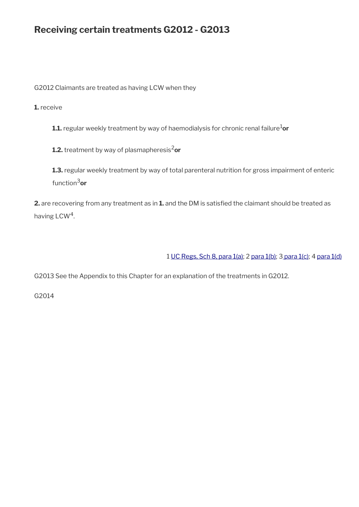# **Receiving certain treatments G2012 - G2013**

G2012 Claimants are treated as having LCW when they

**1.** receive

**1.1.** regular weekly treatment by way of haemodialysis for chronic renal failure<sup>1</sup>or

**1.2.** treatment by way of plasmapheresis<sup>2</sup>or

**1.3.** regular weekly treatment by way of total parenteral nutrition for gross impairment of enteric function3**or**

**2.** are recovering from any treatment as in **1.** and the DM is satisfed the claimant should be treated as having  $LCW<sup>4</sup>$ .

1 [UC Regs, Sch 8, para 1\(a\)](https://www.legislation.gov.uk/uksi/2013/376/schedule/8); 2 [para 1\(b\);](https://www.legislation.gov.uk/uksi/2013/376/schedule/8) [3 para 1\(c\)](https://www.legislation.gov.uk/uksi/2013/376/schedule/8); 4 [para 1\(d\)](https://www.legislation.gov.uk/uksi/2013/376/schedule/8)

G2013 See the Appendix to this Chapter for an explanation of the treatments in G2012.

G2014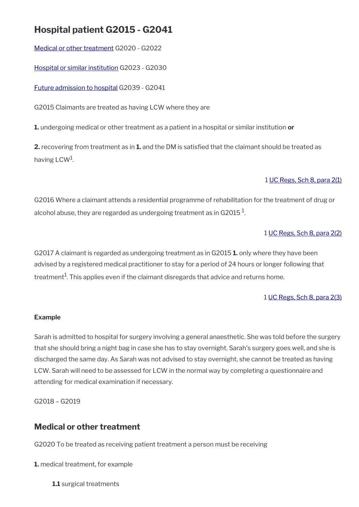# **Hospital patient G2015 - G2041**

[Medical or other treatment](#page-5-0) G2020 - G2022

[Hospital or similar institution](#page-6-0) G2023 - G2030

[Future admission to hospital](#page-9-0) G2039 - G2041

G2015 Claimants are treated as having LCW where they are

**1.** undergoing medical or other treatment as a patient in a hospital or similar institution **or**

**2.** recovering from treatment as in **1.** and the DM is satisfed that the claimant should be treated as having  $\mathsf{LCW}^1$ .

### 1 [UC Regs, Sch 8, para 2\(1\)](https://www.legislation.gov.uk/uksi/2013/376/schedule/8)

G2016 Where a claimant attends a residential programme of rehabilitation for the treatment of drug or alcohol abuse, they are regarded as undergoing treatment as in G2015  $^{\rm 1}$ .

### 1 [UC Regs, Sch 8, para 2\(2\)](https://www.legislation.gov.uk/uksi/2013/376/schedule/8)

G2017 A claimant is regarded as undergoing treatment as in G2015 **1.** only where they have been advised by a registered medical practitioner to stay for a period of 24 hours or longer following that treatment $^{\rm 1}$ . This applies even if the claimant disregards that advice and returns home.

#### 1 [UC Regs, Sch 8, para 2\(3\)](https://www.legislation.gov.uk/uksi/2013/376/schedule/8)

### **Example**

Sarah is admitted to hospital for surgery involving a general anaesthetic. She was told before the surgery that she should bring a night bag in case she has to stay overnight. Sarah's surgery goes well, and she is discharged the same day. As Sarah was not advised to stay overnight, she cannot be treated as having LCW. Sarah will need to be assessed for LCW in the normal way by completing a questionnaire and attending for medical examination if necessary.

G2018 – G2019

## <span id="page-5-0"></span>**Medical or other treatment**

G2020 To be treated as receiving patient treatment a person must be receiving

**1.** medical treatment, for example

**1.1** surgical treatments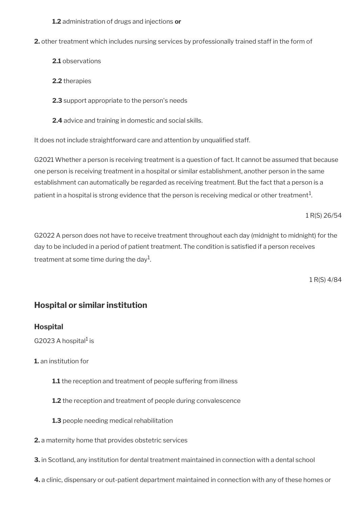**1.2** administration of drugs and injections **or**

**2.** other treatment which includes nursing services by professionally trained staff in the form of

- **2.1** observations
- **2.2** therapies
- **2.3** support appropriate to the person's needs
- **2.4** advice and training in domestic and social skills.

It does not include straightforward care and attention by unqualifed staff.

G2021 Whether a person is receiving treatment is a question of fact. It cannot be assumed that because one person is receiving treatment in a hospital or similar establishment, another person in the same establishment can automatically be regarded as receiving treatment. But the fact that a person is a patient in a hospital is strong evidence that the person is receiving medical or other treatment $^1$ .

1 R(S) 26/54

G2022 A person does not have to receive treatment throughout each day (midnight to midnight) for the day to be included in a period of patient treatment. The condition is satisfed if a person receives treatment at some time during the day $^{\rm 1}$ .

1 R(S) 4/84

## <span id="page-6-0"></span>**Hospital or similar institution**

## **Hospital**

G2023 A hospital<sup>1</sup> is

**1.** an institution for

- **1.1** the reception and treatment of people suffering from illness
- **1.2** the reception and treatment of people during convalescence
- **1.3** people needing medical rehabilitation
- **2.** a maternity home that provides obstetric services
- **3.** in Scotland, any institution for dental treatment maintained in connection with a dental school
- **4.** a clinic, dispensary or out-patient department maintained in connection with any of these homes or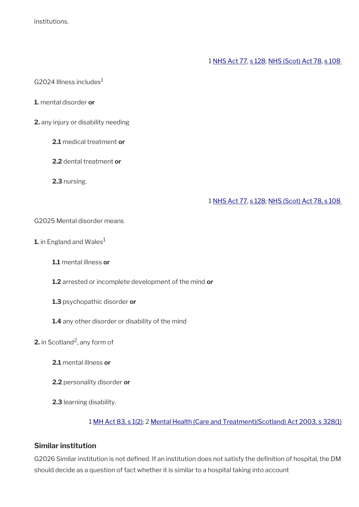institutions.

### 1 [NHS Act 77](https://www.legislation.gov.uk/ukpga/1977/49/contents), [s 128](https://www.legislation.gov.uk/ukpga/1977/49/section/128); [NHS \(Scot\) Act 78,](https://www.legislation.gov.uk/ukpga/1978/29/contents) [s 108](https://www.legislation.gov.uk/ukpga/1978/29/section/108)

G2024 Illness includes $<sup>1</sup>$ </sup>

- **1.** mental disorder **or**
- **2.** any injury or disability needing
	- **2.1** medical treatment **or**
	- **2.2** dental treatment **or**
	- **2.3** nursing.

#### 1 [NHS Act 77](https://www.legislation.gov.uk/ukpga/1977/49/contents), [s 128](https://www.legislation.gov.uk/ukpga/1977/49/section/128); [NHS \(Scot\) Act 78, s 108](https://www.legislation.gov.uk/ukpga/1978/29/section/108)

#### G2025 Mental disorder means

- **1.** in England and Wales<sup>1</sup>
	- **1.1** mental illness **or**
	- **1.2** arrested or incomplete development of the mind **or**
	- **1.3** psychopathic disorder **or**
	- **1.4** any other disorder or disability of the mind
- **2.** in Scotland<sup>2</sup>, any form of
	- **2.1** mental illness **or**
	- **2.2** personality disorder **or**
	- **2.3** learning disability.

#### 1 [MH Act 83, s 1\(2\);](https://www.legislation.gov.uk/ukpga/1983/20/section/1) 2 [Mental Health \(Care and Treatment\)\(Scotland\) Act 2003, s 328\(1\)](https://www.legislation.gov.uk/asp/2003/13/section/328)

### **Similar institution**

G2026 Similar institution is not defined. If an institution does not satisfy the definition of hospital, the DM should decide as a question of fact whether it is similar to a hospital taking into account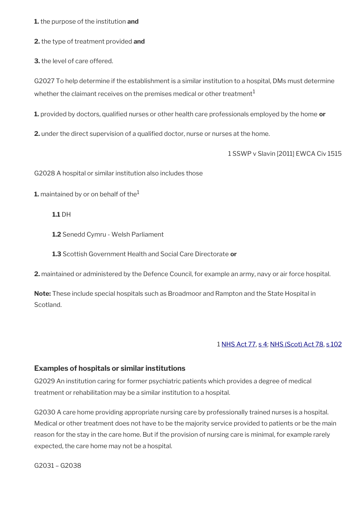**1.** the purpose of the institution **and**

**2.** the type of treatment provided **and**

**3.** the level of care offered.

G2027 To help determine if the establishment is a similar institution to a hospital, DMs must determine whether the claimant receives on the premises medical or other treatment<sup>1</sup>

**1.** provided by doctors, qualifed nurses or other health care professionals employed by the home **or**

**2.** under the direct supervision of a qualifed doctor, nurse or nurses at the home.

1 SSWP v Slavin [2011] EWCA Civ 1515

G2028 A hospital or similar institution also includes those

**1.** maintained by or on behalf of the<sup>1</sup>

#### **1.1** DH

**1.2** Senedd Cymru - Welsh Parliament

**1.3** Scottish Government Health and Social Care Directorate **or**

**2.** maintained or administered by the Defence Council, for example an army, navy or air force hospital.

**Note:** These include special hospitals such as Broadmoor and Rampton and the State Hospital in **Scotland** 

#### 1 [NHS Act 77](https://www.legislation.gov.uk/ukpga/1977/49/contents), [s 4](https://www.legislation.gov.uk/ukpga/1977/49/section/4); [NHS \(Scot\) Act 78,](https://www.legislation.gov.uk/ukpga/1978/29/contents) [s 102](https://www.legislation.gov.uk/ukpga/1978/29/section/102)

#### **Examples of hospitals or similar institutions**

G2029 An institution caring for former psychiatric patients which provides a degree of medical treatment or rehabilitation may be a similar institution to a hospital.

G2030 A care home providing appropriate nursing care by professionally trained nurses is a hospital. Medical or other treatment does not have to be the majority service provided to patients or be the main reason for the stay in the care home. But if the provision of nursing care is minimal, for example rarely expected, the care home may not be a hospital.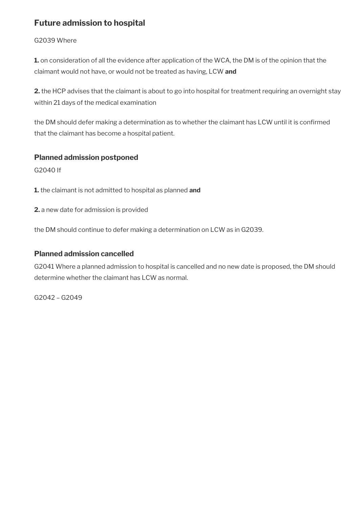## <span id="page-9-0"></span>**Future admission to hospital**

## G2039 Where

**1.** on consideration of all the evidence after application of the WCA, the DM is of the opinion that the claimant would not have, or would not be treated as having, LCW **and**

**2.** the HCP advises that the claimant is about to go into hospital for treatment requiring an overnight stay within 21 days of the medical examination

the DM should defer making a determination as to whether the claimant has LCW until it is confirmed that the claimant has become a hospital patient.

## **Planned admission postponed**

G2040 If

**1.** the claimant is not admitted to hospital as planned **and**

**2.** a new date for admission is provided

the DM should continue to defer making a determination on LCW as in G2039.

## **Planned admission cancelled**

G2041 Where a planned admission to hospital is cancelled and no new date is proposed, the DM should determine whether the claimant has LCW as normal.

G2042 – G2049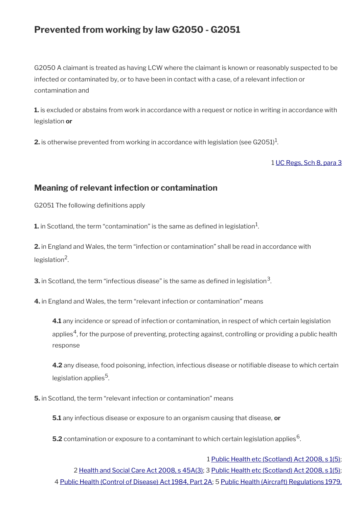# **Prevented from working by law G2050 - G2051**

G2050 A claimant is treated as having LCW where the claimant is known or reasonably suspected to be infected or contaminated by, or to have been in contact with a case, of a relevant infection or contamination and

**1.** is excluded or abstains from work in accordance with a request or notice in writing in accordance with legislation **or**

**2.** is otherwise prevented from working in accordance with legislation (see G2051) $^1$ .

#### 1 [UC Regs, Sch 8, para 3](https://www.legislation.gov.uk/uksi/2013/376/schedule/8)

## **Meaning of relevant infection or contamination**

G2051 The following definitions apply

 ${\bf 1}$  in Scotland, the term "contamination" is the same as defined in legislation $^1$ .

**2.** in England and Wales, the term "infection or contamination" shall be read in accordance with legislation<sup>2</sup>.

**3.** in Scotland, the term "infectious disease" is the same as defined in legislation $^3$ .

**4.** in England and Wales, the term "relevant infection or contamination" means

**4.1** any incidence or spread of infection or contamination, in respect of which certain legislation applies ${}^4$ , for the purpose of preventing, protecting against, controlling or providing a public health response

**4.2** any disease, food poisoning, infection, infectious disease or notifable disease to which certain legislation applies<sup>5</sup>.

**5.** in Scotland, the term "relevant infection or contamination" means

**5.1** any infectious disease or exposure to an organism causing that disease, **or**

 $\mathbf{5.2}$  contamination or exposure to a contaminant to which certain legislation applies  $^6$ .

1 [Public Health etc \(Scotland\) Act 2008, s 1\(5\);](https://www.legislation.gov.uk/asp/2008/5/section/1) 2 [Health and Social Care Act 2008, s 45A\(3\);](https://www.legislation.gov.uk/ukpga/2008/14/section/45A) 3 [Public Health etc \(Scotland\) Act 2008, s 1\(5\);](https://www.legislation.gov.uk/asp/2008/5/section/1) 4 [Public Health \(Control of Disease\) Act 1984, Part 2A](https://www.legislation.gov.uk/ukpga/1984/22/part/2A); 5 [Public Health \(Aircraft\) Regulations 1979,](https://www.legislation.gov.uk/uksi/1979/1434/regulation/9/made)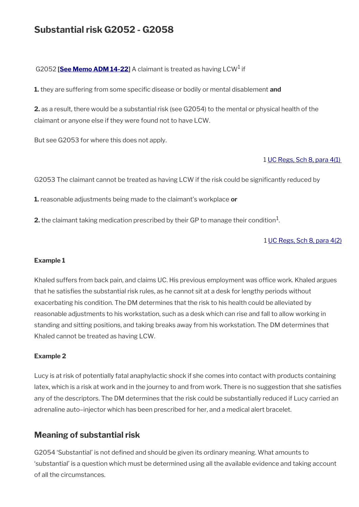# **Substantial risk G2052 - G2058**

#### G2052 [<mark>See Memo ADM 14-22</mark>] A claimant is treated as having LCW<sup>1</sup> if

**1.** they are suffering from some specifc disease or bodily or mental disablement **and**

**2.** as a result, there would be a substantial risk (see G2054) to the mental or physical health of the claimant or anyone else if they were found not to have LCW.

But see G2053 for where this does not apply.

#### 1 [UC Regs, Sch 8, para 4\(1\)](https://www.legislation.gov.uk/uksi/2013/376/schedule/8)

G2053 The claimant cannot be treated as having LCW if the risk could be significantly reduced by

**1.** reasonable adjustments being made to the claimant's workplace **or**

**2.** the claimant taking medication prescribed by their GP to manage their condition $^1$ .

#### 1 [UC Regs, Sch 8, para 4\(2\)](https://www.legislation.gov.uk/uksi/2013/376/schedule/8)

#### **Example 1**

Khaled suffers from back pain, and claims UC. His previous employment was office work. Khaled argues that he satisfes the substantial risk rules, as he cannot sit at a desk for lengthy periods without exacerbating his condition. The DM determines that the risk to his health could be alleviated by reasonable adjustments to his workstation, such as a desk which can rise and fall to allow working in standing and sitting positions, and taking breaks away from his workstation. The DM determines that Khaled cannot be treated as having LCW.

#### **Example 2**

Lucy is at risk of potentially fatal anaphylactic shock if she comes into contact with products containing latex, which is a risk at work and in the journey to and from work. There is no suggestion that she satisfes any of the descriptors. The DM determines that the risk could be substantially reduced if Lucy carried an adrenaline auto–injector which has been prescribed for her, and a medical alert bracelet.

## **Meaning of substantial risk**

G2054 'Substantial' is not defned and should be given its ordinary meaning. What amounts to 'substantial' is a question which must be determined using all the available evidence and taking account of all the circumstances.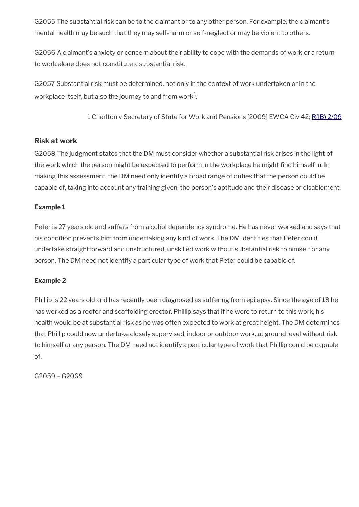G2055 The substantial risk can be to the claimant or to any other person. For example, the claimant's mental health may be such that they may self-harm or self-neglect or may be violent to others.

G2056 A claimant's anxiety or concern about their ability to cope with the demands of work or a return to work alone does not constitute a substantial risk.

G2057 Substantial risk must be determined, not only in the context of work undertaken or in the workplace itself, but also the journey to and from work $^1\!\!$ .

1 Charlton v Secretary of State for Work and Pensions [2009] EWCA Civ 42; [R\(IB\) 2/09](http://intranet.dwp.gov.uk/manual/decision-benefit/rib-2-09)

## **Risk at work**

G2058 The judgment states that the DM must consider whether a substantial risk arises in the light of the work which the person might be expected to perform in the workplace he might find himself in. In making this assessment, the DM need only identify a broad range of duties that the person could be capable of, taking into account any training given, the person's aptitude and their disease or disablement.

## **Example 1**

Peter is 27 years old and suffers from alcohol dependency syndrome. He has never worked and says that his condition prevents him from undertaking any kind of work. The DM identifies that Peter could undertake straightforward and unstructured, unskilled work without substantial risk to himself or any person. The DM need not identify a particular type of work that Peter could be capable of.

### **Example 2**

Phillip is 22 years old and has recently been diagnosed as suffering from epilepsy. Since the age of 18 he has worked as a roofer and scaffolding erector. Phillip says that if he were to return to this work, his health would be at substantial risk as he was often expected to work at great height. The DM determines that Phillip could now undertake closely supervised, indoor or outdoor work, at ground level without risk to himself or any person. The DM need not identify a particular type of work that Phillip could be capable of.

G2059 – G2069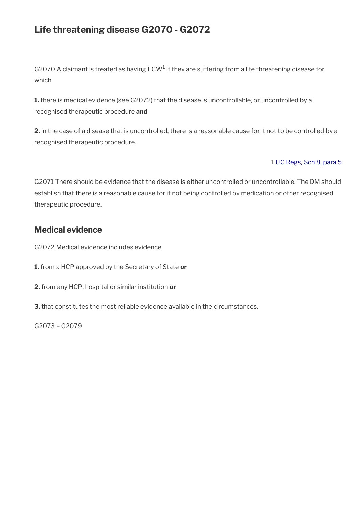# **Life threatening disease G2070 - G2072**

G2070 A claimant is treated as having LCW<sup>1</sup> if they are suffering from a life threatening disease for which

**1.** there is medical evidence (see G2072) that the disease is uncontrollable, or uncontrolled by a recognised therapeutic procedure **and**

**2.** in the case of a disease that is uncontrolled, there is a reasonable cause for it not to be controlled by a recognised therapeutic procedure.

## 1 [UC Regs, Sch 8, para 5](https://www.legislation.gov.uk/uksi/2013/376/schedule/8)

G2071 There should be evidence that the disease is either uncontrolled or uncontrollable. The DM should establish that there is a reasonable cause for it not being controlled by medication or other recognised therapeutic procedure.

## **Medical evidence**

G2072 Medical evidence includes evidence

- **1.** from a HCP approved by the Secretary of State **or**
- **2.** from any HCP, hospital or similar institution **or**
- **3.** that constitutes the most reliable evidence available in the circumstances.

G2073 – G2079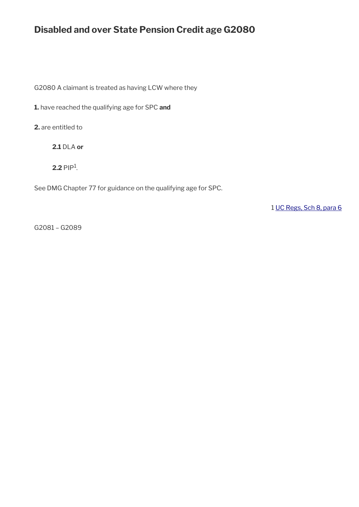# **Disabled and over State Pension Credit age G2080**

G2080 A claimant is treated as having LCW where they

**1.** have reached the qualifying age for SPC **and**

**2.** are entitled to

**2.1** DLA **or**

 $2.2$  PIP<sup>1</sup>.

See DMG Chapter 77 for guidance on the qualifying age for SPC.

1 [UC Regs, Sch 8, para 6](https://www.legislation.gov.uk/uksi/2013/376/schedule/8)

G2081 – G2089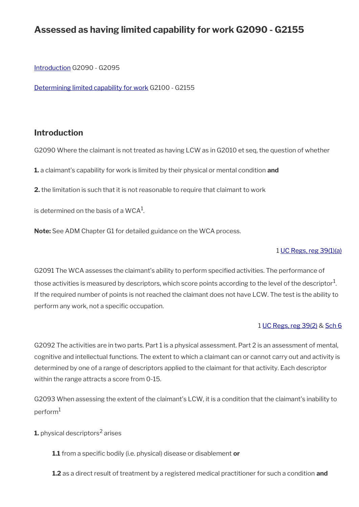# **Assessed as having limited capability for work G2090 - G2155**

[Introduction](#page-16-0) G2090 - G2095

[Determining limited capability for work](#page-18-0) G2100 - G2155

## <span id="page-16-0"></span>**Introduction**

G2090 Where the claimant is not treated as having LCW as in G2010 et seq, the question of whether

**1.** a claimant's capability for work is limited by their physical or mental condition **and**

**2.** the limitation is such that it is not reasonable to require that claimant to work

is determined on the basis of a WCA $^{\rm 1}$ .

**Note:** See ADM Chapter G1 for detailed guidance on the WCA process.

#### 1 [UC Regs, reg 39\(1\)\(a\)](https://www.legislation.gov.uk/uksi/2013/376/regulation/39)

G2091 The WCA assesses the claimant's ability to perform specifed activities. The performance of those activities is measured by descriptors, which score points according to the level of the descriptor $^1\!$ . If the required number of points is not reached the claimant does not have LCW. The test is the ability to perform any work, not a specific occupation.

#### 1 [UC Regs, reg 39\(2\)](https://www.legislation.gov.uk/uksi/2013/376/regulation/39) & [Sch 6](https://www.legislation.gov.uk/uksi/2013/376/schedule/6)

G2092 The activities are in two parts. Part 1 is a physical assessment. Part 2 is an assessment of mental, cognitive and intellectual functions. The extent to which a claimant can or cannot carry out and activity is determined by one of a range of descriptors applied to the claimant for that activity. Each descriptor within the range attracts a score from 0-15.

G2093 When assessing the extent of the claimant's LCW, it is a condition that the claimant's inability to  $perform<sup>1</sup>$ 

**1.** physical descriptors $^2$  arises

**1.1** from a specific bodily (i.e. physical) disease or disablement or

**1.2** as a direct result of treatment by a registered medical practitioner for such a condition **and**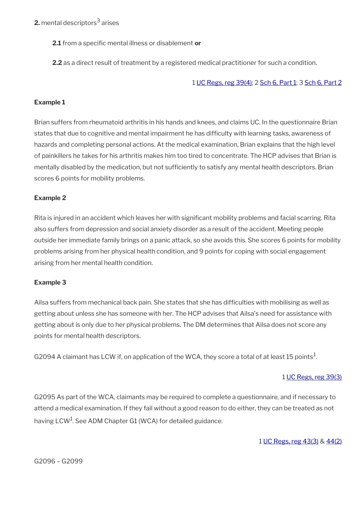**2.** mental descriptors $^3$  arises

**2.1** from a specific mental illness or disablement or

**2.2** as a direct result of treatment by a registered medical practitioner for such a condition.

#### 1 [UC Regs, reg 39\(4\);](https://www.legislation.gov.uk/uksi/2013/376/regulation/39) 2 [Sch 6, Part 1;](https://www.legislation.gov.uk/uksi/2013/376/schedule/6) 3 [Sch 6, Part 2](https://www.legislation.gov.uk/uksi/2013/376/schedule/6)

### **Example 1**

Brian suffers from rheumatoid arthritis in his hands and knees, and claims UC. In the questionnaire Brian states that due to cognitive and mental impairment he has diffculty with learning tasks, awareness of hazards and completing personal actions. At the medical examination, Brian explains that the high level of painkillers he takes for his arthritis makes him too tired to concentrate. The HCP advises that Brian is mentally disabled by the medication, but not sufficiently to satisfy any mental health descriptors. Brian scores 6 points for mobility problems.

#### **Example 2**

Rita is injured in an accident which leaves her with signifcant mobility problems and facial scarring. Rita also suffers from depression and social anxiety disorder as a result of the accident. Meeting people outside her immediate family brings on a panic attack, so she avoids this. She scores 6 points for mobility problems arising from her physical health condition, and 9 points for coping with social engagement arising from her mental health condition.

#### **Example 3**

Ailsa suffers from mechanical back pain. She states that she has diffculties with mobilising as well as getting about unless she has someone with her. The HCP advises that Ailsa's need for assistance with getting about is only due to her physical problems. The DM determines that Ailsa does not score any points for mental health descriptors.

G2094 A claimant has LCW if, on application of the WCA, they score a total of at least 15 points<sup>1</sup>.

#### 1 [UC Regs, reg 39\(3\)](https://www.legislation.gov.uk/uksi/2013/376/regulation/39)

G2095 As part of the WCA, claimants may be required to complete a questionnaire, and if necessary to attend a medical examination. If they fail without a good reason to do either, they can be treated as not having  $\mathsf{LCW}^1$ . See ADM Chapter G1 (WCA) for detailed guidance.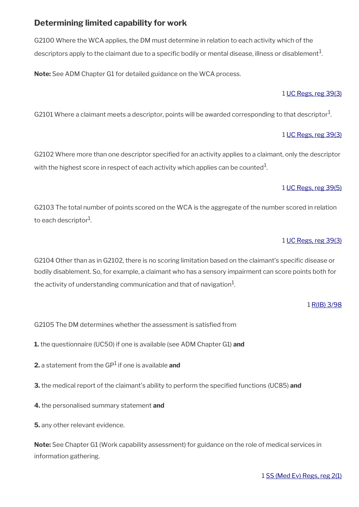## <span id="page-18-0"></span>**Determining limited capability for work**

G2100 Where the WCA applies, the DM must determine in relation to each activity which of the descriptors apply to the claimant due to a specific bodily or mental disease, illness or disablement $^{\rm 1}$ .

**Note:** See ADM Chapter G1 for detailed guidance on the WCA process.

#### 1 [UC Regs, reg 39\(3\)](https://www.legislation.gov.uk/uksi/2013/376/regulation/39)

G2101 Where a claimant meets a descriptor, points will be awarded corresponding to that descriptor $^{\mathrm{1}}$ .

#### 1 [UC Regs, reg 39\(3\)](https://www.legislation.gov.uk/uksi/2013/376/regulation/39)

G2102 Where more than one descriptor specifed for an activity applies to a claimant, only the descriptor with the highest score in respect of each activity which applies can be counted $^1\!$ 

#### 1 [UC Regs, reg 39\(5\)](https://www.legislation.gov.uk/uksi/2013/376/regulation/39)

G2103 The total number of points scored on the WCA is the aggregate of the number scored in relation to each descriptor $^{\rm 1}$ .

#### 1 [UC Regs, reg 39\(3\)](https://www.legislation.gov.uk/uksi/2013/376/regulation/39)

G2104 Other than as in G2102, there is no scoring limitation based on the claimant's specifc disease or bodily disablement. So, for example, a claimant who has a sensory impairment can score points both for the activity of understanding communication and that of navigation $^{\mathrm{1}}$ .

#### 1 [R\(IB\) 3/98](https://intranet.dwp.gov.uk/manual/decision-benefit/rib-3-98)

G2105 The DM determines whether the assessment is satisfed from

**1.** the questionnaire (UC50) if one is available (see ADM Chapter G1) **and**

- **2.** a statement from the GP<sup>1</sup> if one is available **and**
- **3.** the medical report of the claimant's ability to perform the specifed functions (UC85) **and**
- **4.** the personalised summary statement **and**

**5.** any other relevant evidence.

**Note:** See Chapter G1 (Work capability assessment) for guidance on the role of medical services in information gathering.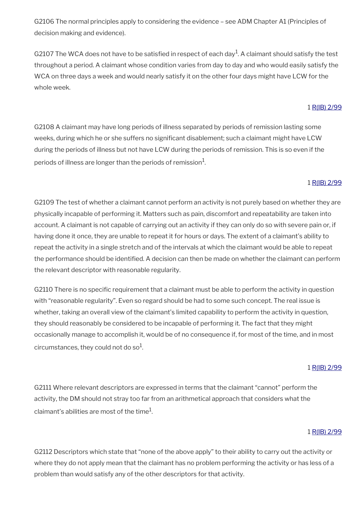G2106 The normal principles apply to considering the evidence – see ADM Chapter A1 (Principles of decision making and evidence).

G2107 The WCA does not have to be satisfied in respect of each day<sup>1</sup>. A claimant should satisfy the test throughout a period. A claimant whose condition varies from day to day and who would easily satisfy the WCA on three days a week and would nearly satisfy it on the other four days might have LCW for the whole week.

#### 1 [R\(IB\) 2/99](https://intranet.dwp.gov.uk/manual/decision-benefit/rib-2-99)

G2108 A claimant may have long periods of illness separated by periods of remission lasting some weeks, during which he or she suffers no significant disablement; such a claimant might have LCW during the periods of illness but not have LCW during the periods of remission. This is so even if the periods of illness are longer than the periods of remission $^1\!\!$ 

### 1 [R\(IB\) 2/99](https://intranet.dwp.gov.uk/manual/decision-benefit/rib-2-99)

G2109 The test of whether a claimant cannot perform an activity is not purely based on whether they are physically incapable of performing it. Matters such as pain, discomfort and repeatability are taken into account. A claimant is not capable of carrying out an activity if they can only do so with severe pain or, if having done it once, they are unable to repeat it for hours or days. The extent of a claimant's ability to repeat the activity in a single stretch and of the intervals at which the claimant would be able to repeat the performance should be identified. A decision can then be made on whether the claimant can perform the relevant descriptor with reasonable regularity.

G2110 There is no specific requirement that a claimant must be able to perform the activity in question with "reasonable regularity". Even so regard should be had to some such concept. The real issue is whether, taking an overall view of the claimant's limited capability to perform the activity in question, they should reasonably be considered to be incapable of performing it. The fact that they might occasionally manage to accomplish it, would be of no consequence if, for most of the time, and in most circumstances, they could not do so $^{\rm 1}$ .

### 1 [R\(IB\) 2/99](https://intranet.dwp.gov.uk/manual/decision-benefit/rib-2-99)

G2111 Where relevant descriptors are expressed in terms that the claimant "cannot" perform the activity, the DM should not stray too far from an arithmetical approach that considers what the claimant's abilities are most of the time $^{\rm 1}$ .

### 1 [R\(IB\) 2/99](https://intranet.dwp.gov.uk/manual/decision-benefit/rib-2-99)

G2112 Descriptors which state that "none of the above apply" to their ability to carry out the activity or where they do not apply mean that the claimant has no problem performing the activity or has less of a problem than would satisfy any of the other descriptors for that activity.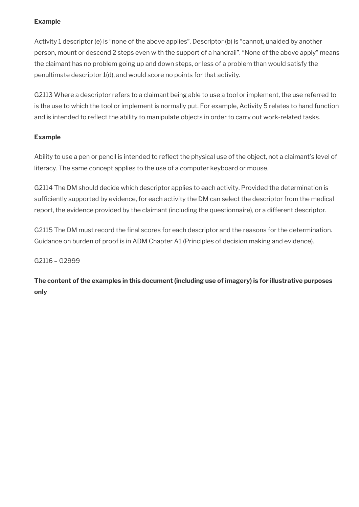## **Example**

Activity 1 descriptor (e) is "none of the above applies". Descriptor (b) is "cannot, unaided by another person, mount or descend 2 steps even with the support of a handrail". "None of the above apply" means the claimant has no problem going up and down steps, or less of a problem than would satisfy the penultimate descriptor 1(d), and would score no points for that activity.

G2113 Where a descriptor refers to a claimant being able to use a tool or implement, the use referred to is the use to which the tool or implement is normally put. For example, Activity 5 relates to hand function and is intended to reflect the ability to manipulate objects in order to carry out work-related tasks.

### **Example**

Ability to use a pen or pencil is intended to refect the physical use of the object, not a claimant's level of literacy. The same concept applies to the use of a computer keyboard or mouse.

G2114 The DM should decide which descriptor applies to each activity. Provided the determination is sufficiently supported by evidence, for each activity the DM can select the descriptor from the medical report, the evidence provided by the claimant (including the questionnaire), or a different descriptor.

G2115 The DM must record the final scores for each descriptor and the reasons for the determination. Guidance on burden of proof is in ADM Chapter A1 (Principles of decision making and evidence).

### G2116 – G2999

**The content of the examples in this document (including use of imagery) is for illustrative purposes only**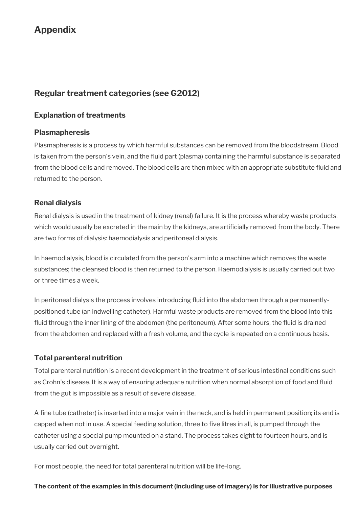# **Appendix**

# **Regular treatment categories (see G2012)**

## **Explanation of treatments**

## **Plasmapheresis**

Plasmapheresis is a process by which harmful substances can be removed from the bloodstream. Blood is taken from the person's vein, and the fuid part (plasma) containing the harmful substance is separated from the blood cells and removed. The blood cells are then mixed with an appropriate substitute fuid and returned to the person.

## **Renal dialysis**

Renal dialysis is used in the treatment of kidney (renal) failure. It is the process whereby waste products, which would usually be excreted in the main by the kidneys, are artifcially removed from the body. There are two forms of dialysis: haemodialysis and peritoneal dialysis.

In haemodialysis, blood is circulated from the person's arm into a machine which removes the waste substances; the cleansed blood is then returned to the person. Haemodialysis is usually carried out two or three times a week.

In peritoneal dialysis the process involves introducing fuid into the abdomen through a permanentlypositioned tube (an indwelling catheter). Harmful waste products are removed from the blood into this fuid through the inner lining of the abdomen (the peritoneum). After some hours, the fuid is drained from the abdomen and replaced with a fresh volume, and the cycle is repeated on a continuous basis.

## **Total parenteral nutrition**

Total parenteral nutrition is a recent development in the treatment of serious intestinal conditions such as Crohn's disease. It is a way of ensuring adequate nutrition when normal absorption of food and fuid from the gut is impossible as a result of severe disease.

A fine tube (catheter) is inserted into a major vein in the neck, and is held in permanent position; its end is capped when not in use. A special feeding solution, three to five litres in all, is pumped through the catheter using a special pump mounted on a stand. The process takes eight to fourteen hours, and is usually carried out overnight.

For most people, the need for total parenteral nutrition will be life-long.

## **The content of the examples in this document (including use of imagery) is for illustrative purposes**